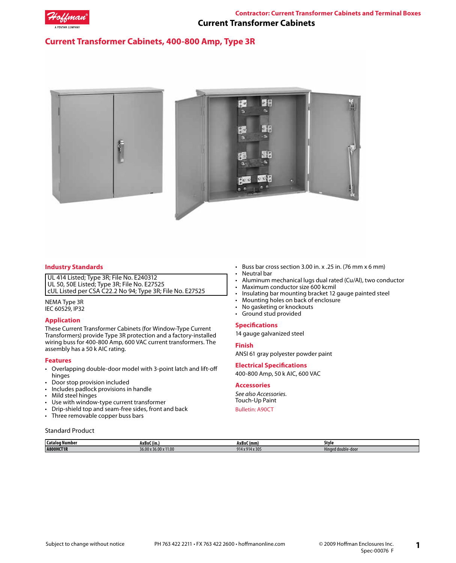

# **Current Transformer Cabinets, 400-800 Amp, Type 3R**



# **Industry Standards**

UL 414 Listed; Type 3R; File No. E240312 UL 50, 50E Listed; Type 3R; File No. E27525 cUL Listed per CSA C22.2 No 94; Type 3R; File No. E27525

NEMA Type 3R IEC 60529, IP32

# **Application**

These Current Transformer Cabinets (for Window-Type Current Transformers) provide Type 3R protection and a factory-installed wiring buss for 400-800 Amp, 600 VAC current transformers. The assembly has a 50 k AIC rating.

## **Features**

- Overlapping double-door model with 3-point latch and lift-off hinges
- Door stop provision included
- Includes padlock provisions in handle<br>• Mild steel hinges
- Mild steel hinges
- Use with window-type current transformer
- Drip-shield top and seam-free sides, front and back
- Three removable copper buss bars

#### Standard Product

**Catalog Number AxBxC (in.) AxBxC (mm) Style A800HCT1R** 36.00 x 36.00 x 36.00 x 11.00 914 x 914 x 914 x 914 x 305 Hinged double-door

- Buss bar cross section 3.00 in. x .25 in. (76 mm x 6 mm)
- Neutral bar
- Aluminum mechanical lugs dual rated (Cu/Al), two conductor
- 
- Maximum conductor size 600 kcmil<br>• Insulating bar mounting bracket 12 • Insulating bar mounting bracket 12 gauge painted steel
- Mounting holes on back of enclosure
- No gasketing or knockouts<br>• Ground stud provided
- Ground stud provided

#### **Specifications**

14 gauge galvanized steel

#### **Finish**

ANSI 61 gray polyester powder paint

#### **Electrical Specifications**

400-800 Amp, 50 k AIC, 600 VAC

## **Accessories**

*See also Accessories.* Touch-Up Paint

Bulletin: A90CT